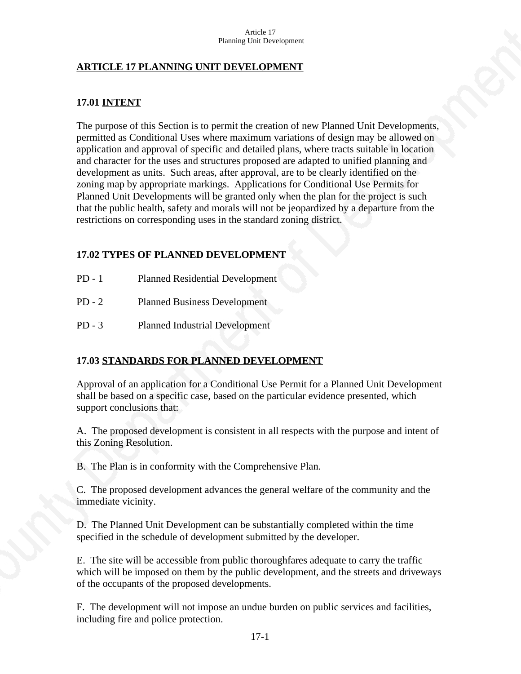### **ARTICLE 17 PLANNING UNIT DEVELOPMENT**

#### **17.01 INTENT**

The purpose of this Section is to permit the creation of new Planned Unit Developments, permitted as Conditional Uses where maximum variations of design may be allowed on application and approval of specific and detailed plans, where tracts suitable in location and character for the uses and structures proposed are adapted to unified planning and development as units. Such areas, after approval, are to be clearly identified on the zoning map by appropriate markings. Applications for Conditional Use Permits for Planned Unit Developments will be granted only when the plan for the project is such that the public health, safety and morals will not be jeopardized by a departure from the restrictions on corresponding uses in the standard zoning district.

### **17.02 TYPES OF PLANNED DEVELOPMENT**

- PD 1 Planned Residential Development
- PD 2 Planned Business Development
- PD 3 Planned Industrial Development

## **17.03 STANDARDS FOR PLANNED DEVELOPMENT**

Approval of an application for a Conditional Use Permit for a Planned Unit Development shall be based on a specific case, based on the particular evidence presented, which support conclusions that:

A. The proposed development is consistent in all respects with the purpose and intent of this Zoning Resolution.

B. The Plan is in conformity with the Comprehensive Plan.

C. The proposed development advances the general welfare of the community and the immediate vicinity.

D. The Planned Unit Development can be substantially completed within the time specified in the schedule of development submitted by the developer.

E. The site will be accessible from public thoroughfares adequate to carry the traffic which will be imposed on them by the public development, and the streets and driveways of the occupants of the proposed developments.

F. The development will not impose an undue burden on public services and facilities, including fire and police protection.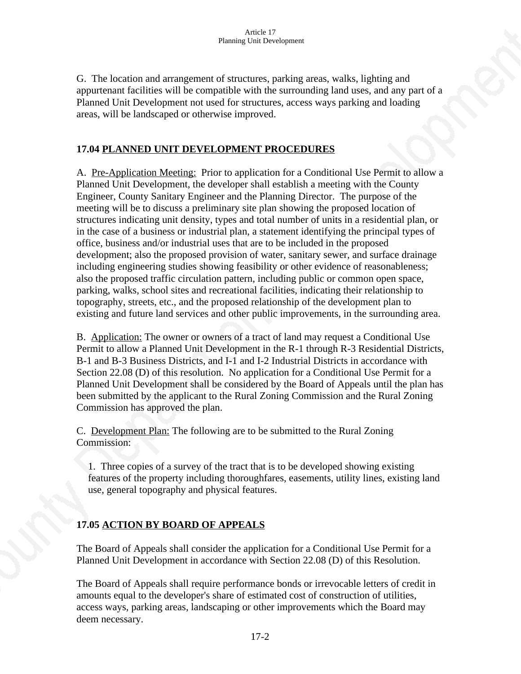G. The location and arrangement of structures, parking areas, walks, lighting and appurtenant facilities will be compatible with the surrounding land uses, and any part of a Planned Unit Development not used for structures, access ways parking and loading areas, will be landscaped or otherwise improved.

### **17.04 PLANNED UNIT DEVELOPMENT PROCEDURES**

A. Pre-Application Meeting: Prior to application for a Conditional Use Permit to allow a Planned Unit Development, the developer shall establish a meeting with the County Engineer, County Sanitary Engineer and the Planning Director. The purpose of the meeting will be to discuss a preliminary site plan showing the proposed location of structures indicating unit density, types and total number of units in a residential plan, or in the case of a business or industrial plan, a statement identifying the principal types of office, business and/or industrial uses that are to be included in the proposed development; also the proposed provision of water, sanitary sewer, and surface drainage including engineering studies showing feasibility or other evidence of reasonableness; also the proposed traffic circulation pattern, including public or common open space, parking, walks, school sites and recreational facilities, indicating their relationship to topography, streets, etc., and the proposed relationship of the development plan to existing and future land services and other public improvements, in the surrounding area.

B. Application: The owner or owners of a tract of land may request a Conditional Use Permit to allow a Planned Unit Development in the R-1 through R-3 Residential Districts, B-1 and B-3 Business Districts, and I-1 and I-2 Industrial Districts in accordance with Section 22.08 (D) of this resolution. No application for a Conditional Use Permit for a Planned Unit Development shall be considered by the Board of Appeals until the plan has been submitted by the applicant to the Rural Zoning Commission and the Rural Zoning Commission has approved the plan.

C. Development Plan: The following are to be submitted to the Rural Zoning Commission:

1. Three copies of a survey of the tract that is to be developed showing existing features of the property including thoroughfares, easements, utility lines, existing land use, general topography and physical features.

## **17.05 ACTION BY BOARD OF APPEALS**

The Board of Appeals shall consider the application for a Conditional Use Permit for a Planned Unit Development in accordance with Section 22.08 (D) of this Resolution.

The Board of Appeals shall require performance bonds or irrevocable letters of credit in amounts equal to the developer's share of estimated cost of construction of utilities, access ways, parking areas, landscaping or other improvements which the Board may deem necessary.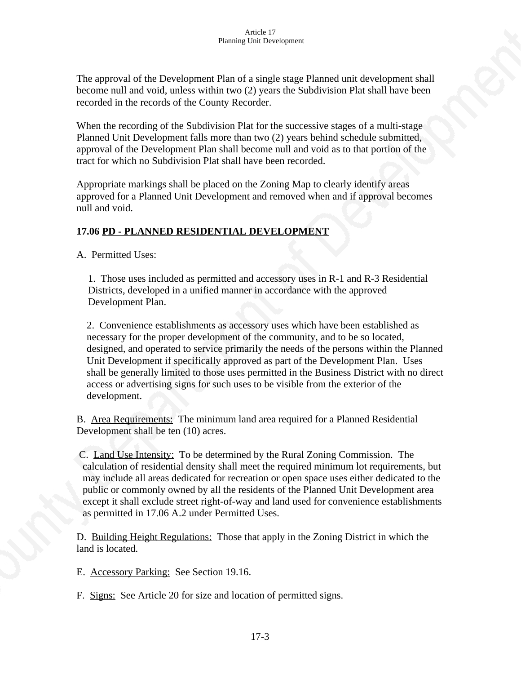The approval of the Development Plan of a single stage Planned unit development shall become null and void, unless within two (2) years the Subdivision Plat shall have been recorded in the records of the County Recorder.

When the recording of the Subdivision Plat for the successive stages of a multi-stage Planned Unit Development falls more than two (2) years behind schedule submitted, approval of the Development Plan shall become null and void as to that portion of the tract for which no Subdivision Plat shall have been recorded.

Appropriate markings shall be placed on the Zoning Map to clearly identify areas approved for a Planned Unit Development and removed when and if approval becomes null and void.

## **17.06 PD - PLANNED RESIDENTIAL DEVELOPMENT**

A. Permitted Uses:

1. Those uses included as permitted and accessory uses in R-1 and R-3 Residential Districts, developed in a unified manner in accordance with the approved Development Plan.

 2. Convenience establishments as accessory uses which have been established as necessary for the proper development of the community, and to be so located, designed, and operated to service primarily the needs of the persons within the Planned Unit Development if specifically approved as part of the Development Plan. Uses shall be generally limited to those uses permitted in the Business District with no direct access or advertising signs for such uses to be visible from the exterior of the development.

B. Area Requirements: The minimum land area required for a Planned Residential Development shall be ten (10) acres.

 C. Land Use Intensity: To be determined by the Rural Zoning Commission. The calculation of residential density shall meet the required minimum lot requirements, but may include all areas dedicated for recreation or open space uses either dedicated to the public or commonly owned by all the residents of the Planned Unit Development area except it shall exclude street right-of-way and land used for convenience establishments as permitted in 17.06 A.2 under Permitted Uses.

D. Building Height Regulations: Those that apply in the Zoning District in which the land is located.

E. Accessory Parking: See Section 19.16.

F. Signs: See Article 20 for size and location of permitted signs.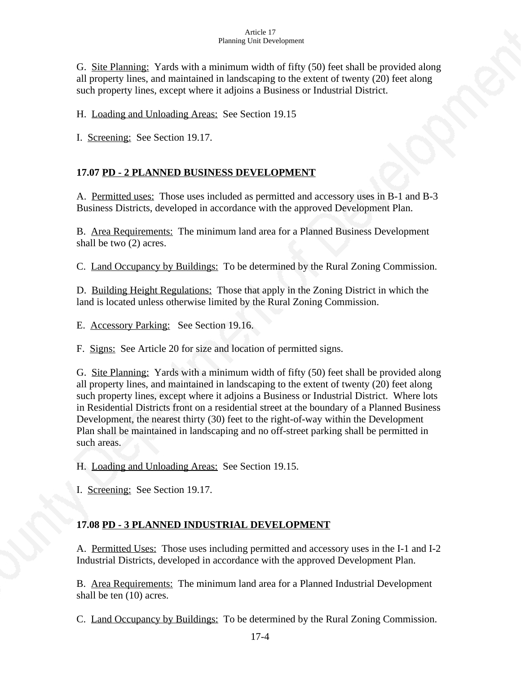#### Article 17 Planning Unit Development

G. Site Planning: Yards with a minimum width of fifty (50) feet shall be provided along all property lines, and maintained in landscaping to the extent of twenty (20) feet along such property lines, except where it adjoins a Business or Industrial District.

H. Loading and Unloading Areas: See Section 19.15

I. Screening: See Section 19.17.

## **17.07 PD - 2 PLANNED BUSINESS DEVELOPMENT**

A. Permitted uses: Those uses included as permitted and accessory uses in B-1 and B-3 Business Districts, developed in accordance with the approved Development Plan.

B. Area Requirements: The minimum land area for a Planned Business Development shall be two (2) acres.

C. Land Occupancy by Buildings: To be determined by the Rural Zoning Commission.

D. Building Height Regulations: Those that apply in the Zoning District in which the land is located unless otherwise limited by the Rural Zoning Commission.

E. Accessory Parking: See Section 19.16.

F. Signs: See Article 20 for size and location of permitted signs.

G. Site Planning: Yards with a minimum width of fifty (50) feet shall be provided along all property lines, and maintained in landscaping to the extent of twenty (20) feet along such property lines, except where it adjoins a Business or Industrial District. Where lots in Residential Districts front on a residential street at the boundary of a Planned Business Development, the nearest thirty (30) feet to the right-of-way within the Development Plan shall be maintained in landscaping and no off-street parking shall be permitted in such areas.

H. Loading and Unloading Areas: See Section 19.15.

I. Screening: See Section 19.17.

# **17.08 PD - 3 PLANNED INDUSTRIAL DEVELOPMENT**

A. Permitted Uses: Those uses including permitted and accessory uses in the I-1 and I-2 Industrial Districts, developed in accordance with the approved Development Plan.

B. Area Requirements: The minimum land area for a Planned Industrial Development shall be ten (10) acres.

C. Land Occupancy by Buildings: To be determined by the Rural Zoning Commission.